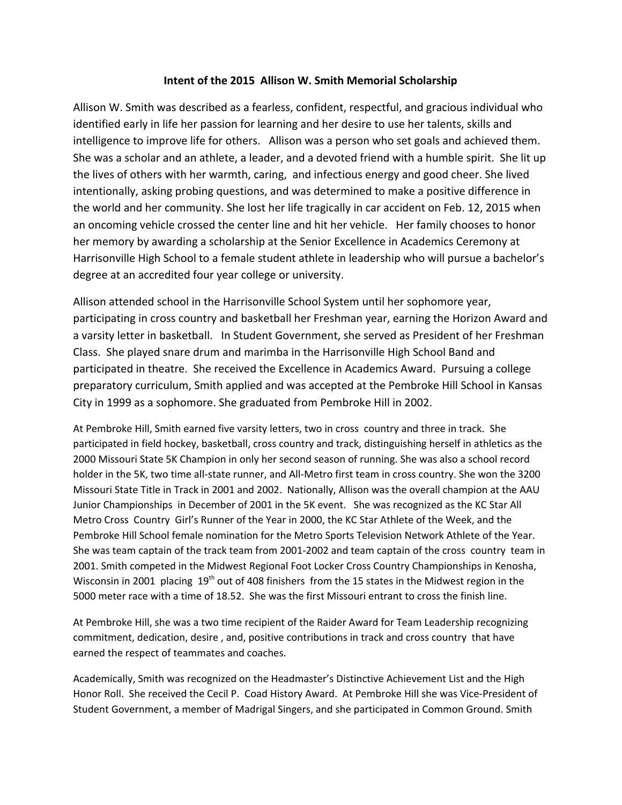# **Intent of the 2015 Allison W. Smith Memorial Scholarship**

Allison W. Smith was described as a fearless, confident, respectful, and gracious individual who identified early in life her passion for learning and her desire to use her talents, skills and intelligence to improve life for others. Allison was a person who set goals and achieved them. She was a scholar and an athlete, a leader, and a devoted friend with a humble spirit. She lit up the lives of others with her warmth, caring, and infectious energy and good cheer. She lived intentionally, asking probing questions, and was determined to make a positive difference in the world and her community. She lost her life tragically in car accident on Feb. 12, 2015 when an oncoming vehicle crossed the center line and hit her vehicle. Her family chooses to honor her memory by awarding a scholarship at the Senior Excellence in Academics Ceremony at Harrisonville High School to a female student athlete in leadership who will pursue a bachelor's degree at an accredited four year college or university.

Allison attended school in the Harrisonville School System until her sophomore year, participating in cross country and basketball her Freshman year, earning the Horizon Award and a varsity letter in basketball. In Student Government, she served as President of her Freshman Class. She played snare drum and marimba in the Harrisonville High School Band and participated in theatre. She received the Excellence in Academics Award. Pursuing a college preparatory curriculum, Smith applied and was accepted at the Pembroke Hill School in Kansas City in 1999 as a sophomore. She graduated from Pembroke Hill in 2002.

At Pembroke Hill, Smith earned five varsity letters, two in cross country and three in track. She participated in field hockey, basketball, cross country and track, distinguishing herself in athletics as the 2000 Missouri State 5K Champion in only her second season of running. She was also a school record holder in the 5K, two time all-state runner, and All-Metro first team in cross country. She won the 3200 Missouri State Title in Track in 2001 and 2002. Nationally, Allison was the overall champion at the AAU Junior Championships in December of 2001 in the 5K event. She was recognized as the KC Star All Metro Cross Country Girl's Runner of the Year in 2000, the KC Star Athlete of the Week, and the Pembroke Hill School female nomination for the Metro Sports Television Network Athlete of the Year. She was team captain of the track team from 2001-2002 and team captain of the cross country team in 2001. Smith competed in the Midwest Regional Foot Locker Cross Country Championships in Kenosha, Wisconsin in 2001 placing 19<sup>th</sup> out of 408 finishers from the 15 states in the Midwest region in the 5000 meter race with a time of 18.52. She was the first Missouri entrant to cross the finish line.

At Pembroke Hill, she was a two time recipient of the Raider Award for Team Leadership recognizing commitment, dedication, desire , and, positive contributions in track and cross country that have earned the respect of teammates and coaches.

Academically, Smith was recognized on the Headmaster's Distinctive Achievement List and the High Honor Roll. She received the Cecil P. Coad History Award. At Pembroke Hill she was Vice-President of Student Government, a member of Madrigal Singers, and she participated in Common Ground. Smith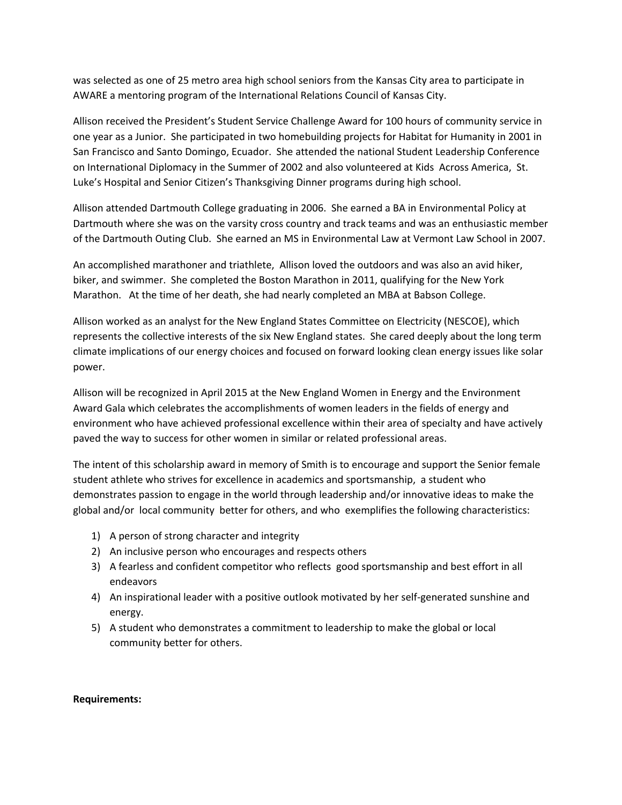was selected as one of 25 metro area high school seniors from the Kansas City area to participate in AWARE a mentoring program of the International Relations Council of Kansas City.

Allison received the President's Student Service Challenge Award for 100 hours of community service in one year as a Junior. She participated in two homebuilding projects for Habitat for Humanity in 2001 in San Francisco and Santo Domingo, Ecuador. She attended the national Student Leadership Conference on International Diplomacy in the Summer of 2002 and also volunteered at Kids Across America, St. Luke's Hospital and Senior Citizen's Thanksgiving Dinner programs during high school.

Allison attended Dartmouth College graduating in 2006. She earned a BA in Environmental Policy at Dartmouth where she was on the varsity cross country and track teams and was an enthusiastic member of the Dartmouth Outing Club. She earned an MS in Environmental Law at Vermont Law School in 2007.

An accomplished marathoner and triathlete, Allison loved the outdoors and was also an avid hiker, biker, and swimmer. She completed the Boston Marathon in 2011, qualifying for the New York Marathon. At the time of her death, she had nearly completed an MBA at Babson College.

Allison worked as an analyst for the New England States Committee on Electricity (NESCOE), which represents the collective interests of the six New England states. She cared deeply about the long term climate implications of our energy choices and focused on forward looking clean energy issues like solar power.

Allison will be recognized in April 2015 at the New England Women in Energy and the Environment Award Gala which celebrates the accomplishments of women leaders in the fields of energy and environment who have achieved professional excellence within their area of specialty and have actively paved the way to success for other women in similar or related professional areas.

The intent of this scholarship award in memory of Smith is to encourage and support the Senior female student athlete who strives for excellence in academics and sportsmanship, a student who demonstrates passion to engage in the world through leadership and/or innovative ideas to make the global and/or local community better for others, and who exemplifies the following characteristics:

- 1) A person of strong character and integrity
- 2) An inclusive person who encourages and respects others
- 3) A fearless and confident competitor who reflects good sportsmanship and best effort in all endeavors
- 4) An inspirational leader with a positive outlook motivated by her self-generated sunshine and energy.
- 5) A student who demonstrates a commitment to leadership to make the global or local community better for others.

#### **Requirements:**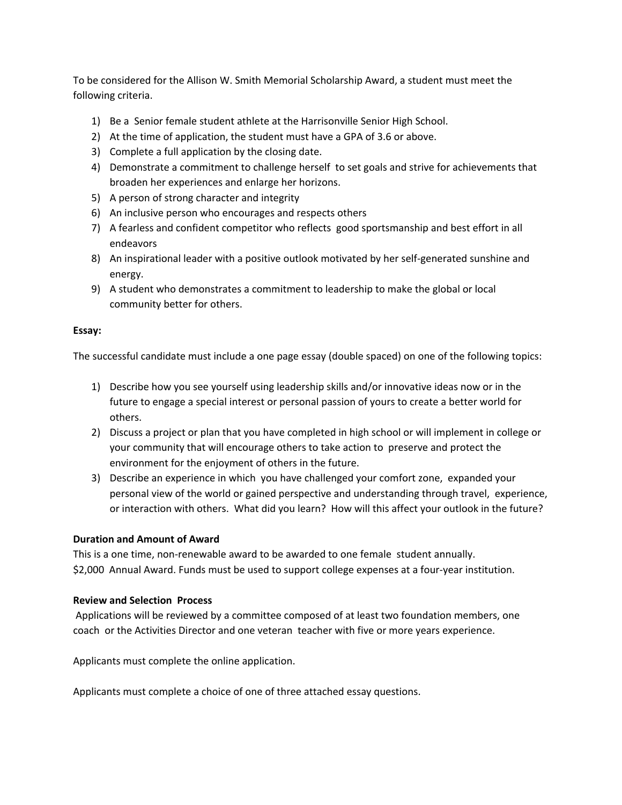To be considered for the Allison W. Smith Memorial Scholarship Award, a student must meet the following criteria.

- 1) Be a Senior female student athlete at the Harrisonville Senior High School.
- 2) At the time of application, the student must have a GPA of 3.6 or above.
- 3) Complete a full application by the closing date.
- 4) Demonstrate a commitment to challenge herself to set goals and strive for achievements that broaden her experiences and enlarge her horizons.
- 5) A person of strong character and integrity
- 6) An inclusive person who encourages and respects others
- 7) A fearless and confident competitor who reflects good sportsmanship and best effort in all endeavors
- 8) An inspirational leader with a positive outlook motivated by her self-generated sunshine and energy.
- 9) A student who demonstrates a commitment to leadership to make the global or local community better for others.

### **Essay:**

The successful candidate must include a one page essay (double spaced) on one of the following topics:

- 1) Describe how you see yourself using leadership skills and/or innovative ideas now or in the future to engage a special interest or personal passion of yours to create a better world for others.
- 2) Discuss a project or plan that you have completed in high school or will implement in college or your community that will encourage others to take action to preserve and protect the environment for the enjoyment of others in the future.
- 3) Describe an experience in which you have challenged your comfort zone, expanded your personal view of the world or gained perspective and understanding through travel, experience, or interaction with others. What did you learn? How will this affect your outlook in the future?

## **Duration and Amount of Award**

This is a one time, non-renewable award to be awarded to one female student annually. \$2,000 Annual Award. Funds must be used to support college expenses at a four-year institution.

## **Review and Selection Process**

Applications will be reviewed by a committee composed of at least two foundation members, one coach or the Activities Director and one veteran teacher with five or more years experience.

Applicants must complete the online application.

Applicants must complete a choice of one of three attached essay questions.